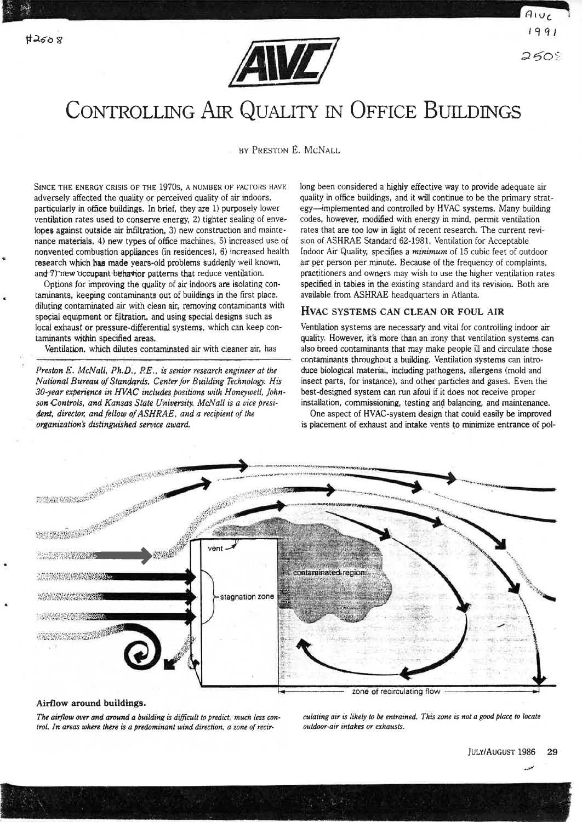

 $A\cup C$ 2508

# CONTROLLING AIR QUALITY IN OFFICE BUILDINGS

BY PRESTON E. MCNALL

SINCE THE ENERGY CRISIS OF THE 1970s, A NUMBER OF FACTORS HAVE adversely affected the quality or perceived quality of air indoors, particularly in office buildings. In brief, they are 1) purposely lower ventilation rates used to conserve energy, 2) tighter sealing of envelopes against outside air infiltration, 3) new construction and maintenance materials, 4) new types of office machines, 5) increased use of nonvented combustion appliances (in residences), 6) increased health research which has made years-old problems suddenly well known. and 7) new occupant behavior patterns that reduce ventilation.

Options for improving the quality of air indoors are isolating contaminants, keeping contaminants out of buildings in the first place. diluting contaminated air with clean air, removing contaminants with special equipment or filtration, and using special designs such as local exhaust or pressure-differential systems, which can keep contaminants within specified areas.

Ventilation, which dilutes contaminated air with cleaner air, has

Preston E. McNall, Ph.D., P.E., is senior research engineer at the National Bureau of Standards, Center for Building Technology. His 30-year experience in HVAC includes positions with Honeywell, Johnson Controls, and Kansas State University. McNall is a vice president, director, and fellow of ASHRAE, and a recipient of the organization's distinguished service award.

long been considered a highly effective way to provide adequate air quality in office buildings, and it will continue to be the primary strategy-implemented and controlled by HVAC systems. Many building codes, however, modified with energy in mind, permit ventilation rates that are too low in light of recent research. The current revision of ASHRAE Standard 62-1981, Ventilation for Acceptable Indoor Air Quality, specifies a minimum of 15 cubic feet of outdoor air per person per minute. Because of the frequency of complaints, practitioners and owners may wish to use the higher ventilation rates specified in tables in the existing standard and its revision. Both are available from ASHRAE headquarters in Atlanta.

# HVAC SYSTEMS CAN CLEAN OR FOUL AIR

Ventilation systems are necessary and vital for controlling indoor air quality. However, it's more than an irony that ventilation systems can also breed contaminants that may make people ill and circulate those contaminants throughout a building. Ventilation systems can introduce biological material, including pathogens, allergens (mold and insect parts, for instance), and other particles and gases. Even the best-designed system can run afoul if it does not receive proper installation, commissioning, testing and balancing, and maintenance.

One aspect of HVAC-system design that could easily be improved is placement of exhaust and intake vents to minimize entrance of pol-



### Airflow around buildings.

The airflow over and around a building is difficult to predict, much less control. In areas where there is a predominant wind direction, a zone of recirculating air is likely to be entrained. This zone is not a good place to locate outdoor-air intakes or exhausts.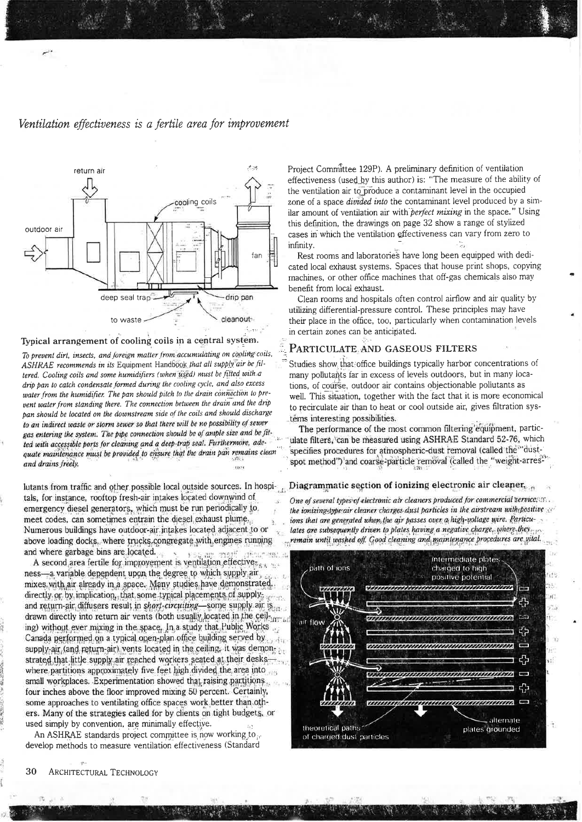# Ventilation effectiveness is a fertile area for improvement



#### Typical arrangement of cooling coils in a central system.

To prevent dirt, insects, and foreign matter from accumulating on cooling coils, ASHRAE recommends in its Equipment Handbook that all supply air be filtered. Cooling coils and some humidifiers (when used) must be fitted with a drip pan to catch condensate formed during the cooling cycle, and also excess water from the humidifier. The pan should pitch to the drain connection to prevent water from standing there. The connection between the drain and the drip pan should be located on the downstream side of the coils and should discharge to an indirect waste or storm sewer so that there will be no possibility of sewer gas entering the system. The pipe connection should be of ample size and be fitted with accessible ports for cleaning and a deep-trap seal. Furthermore, adequate maintenance must be provided to ensure that the drain pan remains clean and drains freely. noù

lutants from traffic and other possible local outside sources. In hospitals, for instance, rooftop fresh-air intakes located downwind of emergency diesel generators, which must be run periodically to. meet codes, can sometimes entrain the diesel exhaust plume. Numerous buildings have outdoor-air intakes located adjacent to or above loading docks, where trucks congregate with engines running and where garbage bins are located.

A second area fertile for improvement is ventilation effective. ness—a variable dependent upon the degree to which supply air mixes with air already in a space. Many studies have demonstrated. directly or by implication, that some typical placements of supply, and return-air diffusers result in shart-circuiting-some supply air is drawn directly into return air vents (both usually located in the ceiling) without ever mixing in the space. In a study that Public Works Canada performed on a typical open-plan office building served by supply-air (and return-air) vents located in the ceiling. it was demonstrated that little supply air reached workers seated at their deskswhere partitions approximately five feet high divided the area into small workplaces. Experimentation showed that raising partitions. four inches above the floor improved mixing 50 percent. Certainly, some approaches to ventilating office spaces work better than others. Many of the strategies called for by clients on tight budgets, or used simply by convention, are minimally effective.

An ASHRAE standards project committee is now working to develop methods to measure ventilation effectiveness (Standard Project Committee 129P). A preliminary definition of ventilation effectiveness (used by this author) is: "The measure of the ability of the ventilation air to produce a contaminant level in the occupied zone of a space *divided into* the contaminant level produced by a similar amount of ventilation air with perfect mixing in the space." Using this definition, the drawings on page 32 show a range of stylized cases in which the ventilation effectiveness can vary from zero to infinity. -75

Rest rooms and laboratories have long been equipped with dedicated local exhaust systems. Spaces that house print shops, copying machines, or other office machines that off-gas chemicals also may benefit from local exhaust.

Clean rooms and hospitals often control airflow and air quality by utilizing differential-pressure control. These principles may have their place in the office, too, particularly when contamination levels in certain zones can be anticipated.

# PARTICULATE AND GASEOUS FILTERS

Studies show that office buildings typically harbor concentrations of many pollutants far in excess of levels outdoors, but in many locations, of course, outdoor air contains objectionable pollutants as well. This situation, together with the fact that it is more economical to recirculate air than to heat or cool outside air, gives filtration systems interesting possibilities.

The performance of the most common filtering'equipment, particulate filters, 'can be measured using ASHRAE Standard 52-76, which specifies procedures for atmospheric-dust removal (called the "dustspot method") and coarse-particle removal (called the "weight-arres

#### Diagrammatic section of ionizing electronic air cleaner.

One of several types of electronic air cleaners produced for commercial service, and the ionizing-type air cleaner charges dust particles in the airstream with positive ions that are generated when the air passes over a high-voltage wire. Particulates are subsequently driven to plates having a negative charge, where they remain until washed off. Good cleaning and maintenance procedures are vital.



30 ARCHITECTURAL TECHNOLOGY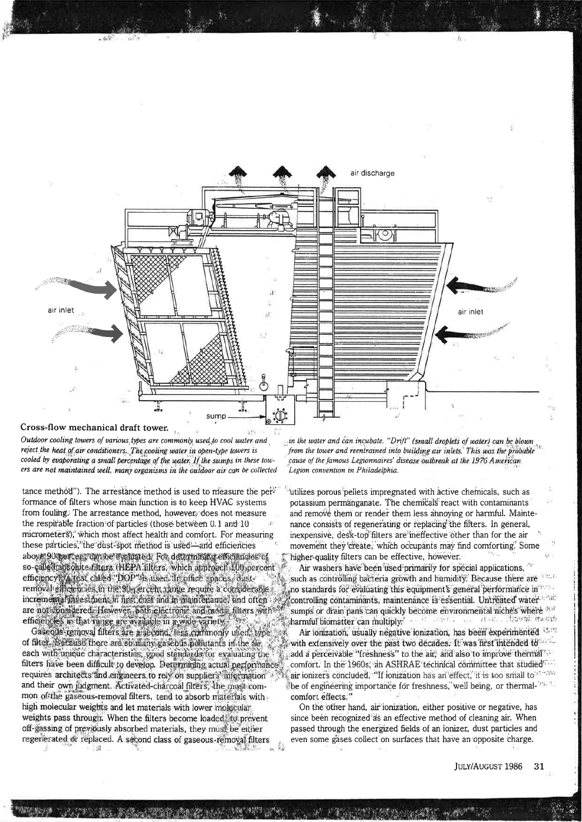

Cross-flow mechanical draft tower.

Outdoor cooling towers of various types are commonly used to cool water and reject the heat of air conditioners. The cooling water in open-type towers is cooled by evaporating a small percentage of the water. If the sumps in these towers are not maintained well, many organisms in the outdoor air can be collected

tance method"). The arrestance method is used to measure the performance of filters whose main function is to keep HVAC systems from fouling. The arrestance method, however, does not measure the respirable fraction of particles (those between 0.1 and 10 micrometers), which most affect health and comfort. For measuring these particles, the dust-spot method is used—and efficiencies aboy#90 percent can be evaluated. For determining emotionales of so-called alsohite filters (HEPA filters, which approach 100 percent efficiency), a test called "DOP" is used in office spaces, dustremoval efficiencies in the 30 yercent cange require a considerable incremental investment in first cost and in maintenance, and often are not considered. However, both electronic and media filters with  $\mathcal{O}(\epsilon)$ efficiencies in that range are available in a wide variety.

Gaseous-removal filters are a second. less commonly used, type of filter. Because there are so many gaseous pobutants in the air, each with unique characteristics, good standards for evaluating the filters have been difficult to develop. Determining actual performance. requires architects and engineers to rely on suppliers information and their own judgment. Activated-charcoal filters, the most common of the gaseous-removal filters, tend to absorb materials with high molecular weights and let materials with lower molecular weights pass through. When the filters become loaded, to prevent off-gassing of previously absorbed materials, they must be either regenerated or replaced. A second class of gaseous-removal filters  $-11$ 

.. in the water and can incubate. "Drift" (small droplets of water) can be blown from the tower and reentrained into building air inlets. This was the probable cause of the famous Legionnaires' disease outbreak at the 1976 American Legion convention in Philadelphia.

utilizes porous pellets impregnated with active chemicals, such as potassium permánganate. The chemicals react with contaminants and remove them or render them less annoying or harmful. Maintenance consists of regenerating or replacing the filters. In general, inexpensive, desk-top filters are ineffective other than for the air movement they create, which occupants may find comforting. Some higher-quality filters can be effective, however.

Air washers have been used primarily for special applications, such as controlling bacteria growth and humidity. Because there are no standards for evaluating this equipment's general performance in controlling contaminants, maintenance is essential. Untreated water sumps or drain pans can quickly become environmental mches where 201 harmful biomatter can multiply." And the state of all also the set transfer

Air ionization, usually negative ionization, has been experimented with extensively over the past two decades. It was first intended to add a perceivable "freshness" to the air, and also to improve thermal". comfort. In the 1960s, an ASHRAE technical committee that studied<sup>553</sup> air ionizers concluded, "If ionization has an effect, it is too small to"140% be of engineering importance for freshness, well being, or thermal-'rs. comfort effects."

On the other hand, air ionization, either positive or negative, has since been recognized as an effective method of cleaning air. When passed through the energized fields of an ionizer, dust particles and even some gases collect on surfaces that have an opposite charge.